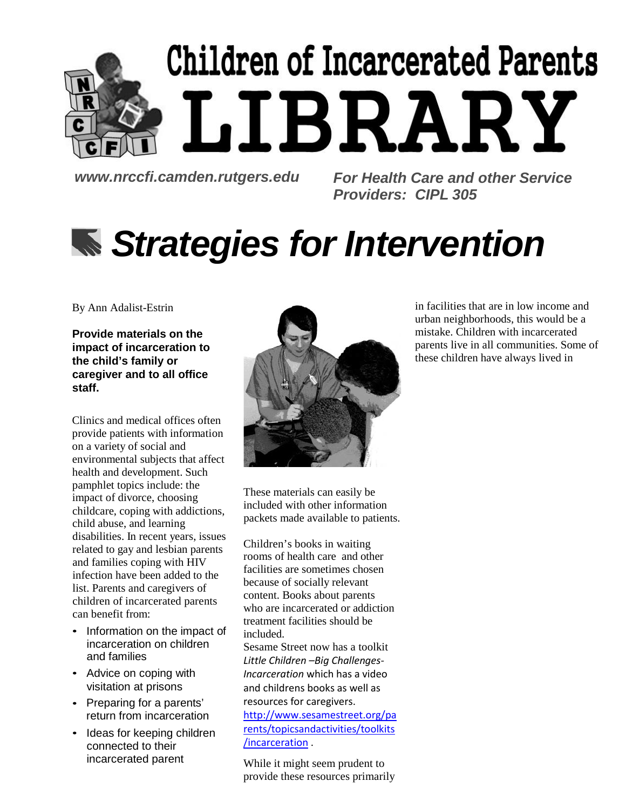# Children of Incarcerated Parents LIBRARY

*[www.nrccfi.camden.rutgers.edu](http://www.nrccfi.camden.rutgers.edu/) For Health Care and other Service Providers: CIPL 305*

# *Strategies for Intervention*

By Ann Adalist-Estrin

**Provide materials on the impact of incarceration to the child's family or caregiver and to all office staff.**

Clinics and medical offices often provide patients with information on a variety of social and environmental subjects that affect health and development. Such pamphlet topics include: the impact of divorce, choosing childcare, coping with addictions, child abuse, and learning disabilities. In recent years, issues related to gay and lesbian parents and families coping with HIV infection have been added to the list. Parents and caregivers of children of incarcerated parents can benefit from:

- Information on the impact of incarceration on children and families
- Advice on coping with visitation at prisons
- Preparing for a parents' return from incarceration
- Ideas for keeping children connected to their incarcerated parent



These materials can easily be included with other information packets made available to patients.

Children's books in waiting rooms of health care and other facilities are sometimes chosen because of socially relevant content. Books about parents who are incarcerated or addiction treatment facilities should be included.

Sesame Street now has a toolkit *Little Children –Big Challenges-Incarceration* which has a video and childrens books as well as resources for caregivers.

[http://www.sesamestreet.org/pa](http://www.sesamestreet.org/parents/topicsandactivities/toolkits/incarceration) [rents/topicsandactivities/toolkits](http://www.sesamestreet.org/parents/topicsandactivities/toolkits/incarceration) [/incarceration](http://www.sesamestreet.org/parents/topicsandactivities/toolkits/incarceration) .

While it might seem prudent to provide these resources primarily in facilities that are in low income and urban neighborhoods, this would be a mistake. Children with incarcerated parents live in all communities. Some of these children have always lived in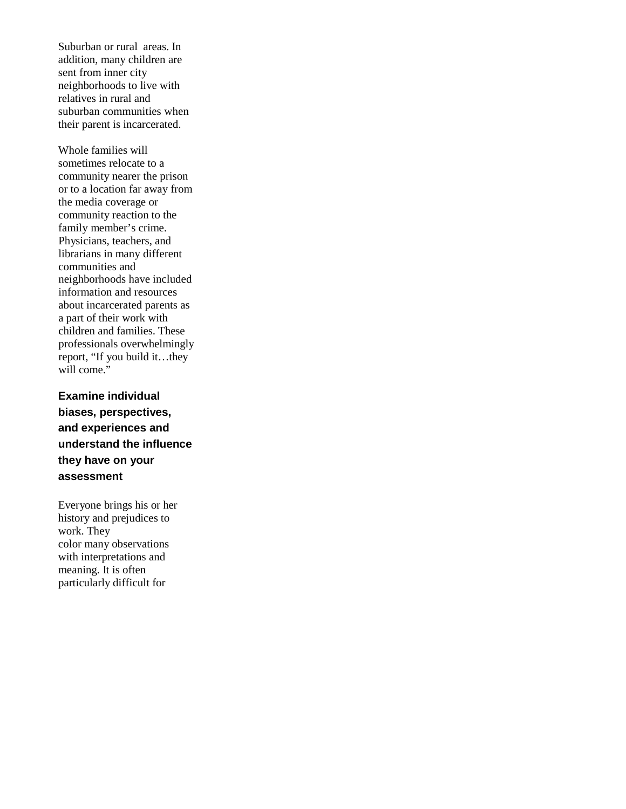Suburban or rural areas. In addition, many children are sent from inner city neighborhoods to live with relatives in rural and suburban communities when their parent is incarcerated.

Whole families will sometimes relocate to a community nearer the prison or to a location far away from the media coverage or community reaction to the family member's crime. Physicians, teachers, and librarians in many different communities and neighborhoods have included information and resources about incarcerated parents as a part of their work with children and families. These professionals overwhelmingly report, "If you build it…they will come."

**Examine individual biases, perspectives, and experiences and understand the influence they have on your assessment**

Everyone brings his or her history and prejudices to work. They color many observations with interpretations and meaning. It is often particularly difficult for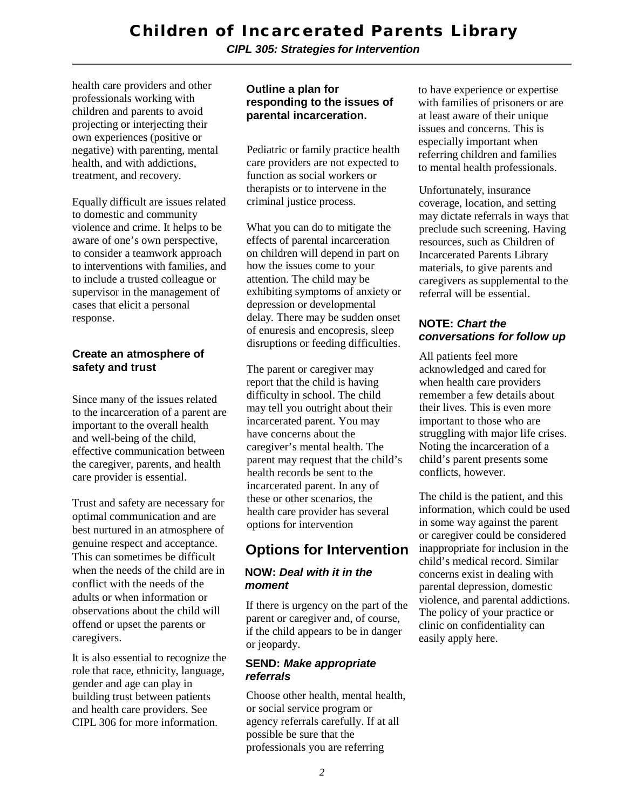*CIPL 305: Strategies for Intervention*

health care providers and other professionals working with children and parents to avoid projecting or interjecting their own experiences (positive or negative) with parenting, mental health, and with addictions, treatment, and recovery.

Equally difficult are issues related to domestic and community violence and crime. It helps to be aware of one's own perspective, to consider a teamwork approach to interventions with families, and to include a trusted colleague or supervisor in the management of cases that elicit a personal response.

#### **Create an atmosphere of safety and trust**

Since many of the issues related to the incarceration of a parent are important to the overall health and well-being of the child, effective communication between the caregiver, parents, and health care provider is essential.

Trust and safety are necessary for optimal communication and are best nurtured in an atmosphere of genuine respect and acceptance. This can sometimes be difficult when the needs of the child are in conflict with the needs of the adults or when information or observations about the child will offend or upset the parents or caregivers.

It is also essential to recognize the role that race, ethnicity, language, gender and age can play in building trust between patients and health care providers. See CIPL 306 for more information.

#### **Outline a plan for responding to the issues of parental incarceration.**

Pediatric or family practice health care providers are not expected to function as social workers or therapists or to intervene in the criminal justice process.

What you can do to mitigate the effects of parental incarceration on children will depend in part on how the issues come to your attention. The child may be exhibiting symptoms of anxiety or depression or developmental delay. There may be sudden onset of enuresis and encopresis, sleep disruptions or feeding difficulties.

The parent or caregiver may report that the child is having difficulty in school. The child may tell you outright about their incarcerated parent. You may have concerns about the caregiver's mental health. The parent may request that the child's health records be sent to the incarcerated parent. In any of these or other scenarios, the health care provider has several options for intervention

### **Options for Intervention**

#### **NOW:** *Deal with it in the moment*

If there is urgency on the part of the parent or caregiver and, of course, if the child appears to be in danger or jeopardy.

#### **SEND:** *Make appropriate referrals*

Choose other health, mental health, or social service program or agency referrals carefully. If at all possible be sure that the professionals you are referring

to have experience or expertise with families of prisoners or are at least aware of their unique issues and concerns. This is especially important when referring children and families to mental health professionals.

Unfortunately, insurance coverage, location, and setting may dictate referrals in ways that preclude such screening. Having resources, such as Children of Incarcerated Parents Library materials, to give parents and caregivers as supplemental to the referral will be essential.

#### **NOTE:** *Chart the conversations for follow up*

All patients feel more acknowledged and cared for when health care providers remember a few details about their lives. This is even more important to those who are struggling with major life crises. Noting the incarceration of a child's parent presents some conflicts, however.

The child is the patient, and this information, which could be used in some way against the parent or caregiver could be considered inappropriate for inclusion in the child's medical record. Similar concerns exist in dealing with parental depression, domestic violence, and parental addictions. The policy of your practice or clinic on confidentiality can easily apply here.